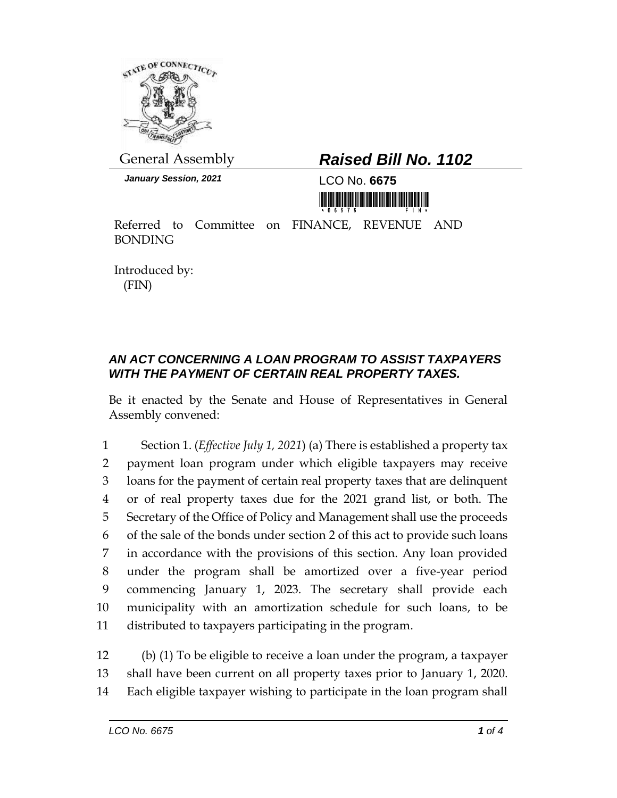

*January Session, 2021* LCO No. **6675**

## General Assembly *Raised Bill No. 1102*

Referred to Committee on FINANCE, REVENUE AND BONDING

Introduced by: (FIN)

## *AN ACT CONCERNING A LOAN PROGRAM TO ASSIST TAXPAYERS WITH THE PAYMENT OF CERTAIN REAL PROPERTY TAXES.*

Be it enacted by the Senate and House of Representatives in General Assembly convened:

 Section 1. (*Effective July 1, 2021*) (a) There is established a property tax payment loan program under which eligible taxpayers may receive loans for the payment of certain real property taxes that are delinquent or of real property taxes due for the 2021 grand list, or both. The Secretary of the Office of Policy and Management shall use the proceeds of the sale of the bonds under section 2 of this act to provide such loans in accordance with the provisions of this section. Any loan provided under the program shall be amortized over a five-year period commencing January 1, 2023. The secretary shall provide each municipality with an amortization schedule for such loans, to be distributed to taxpayers participating in the program.

12 (b) (1) To be eligible to receive a loan under the program, a taxpayer 13 shall have been current on all property taxes prior to January 1, 2020. 14 Each eligible taxpayer wishing to participate in the loan program shall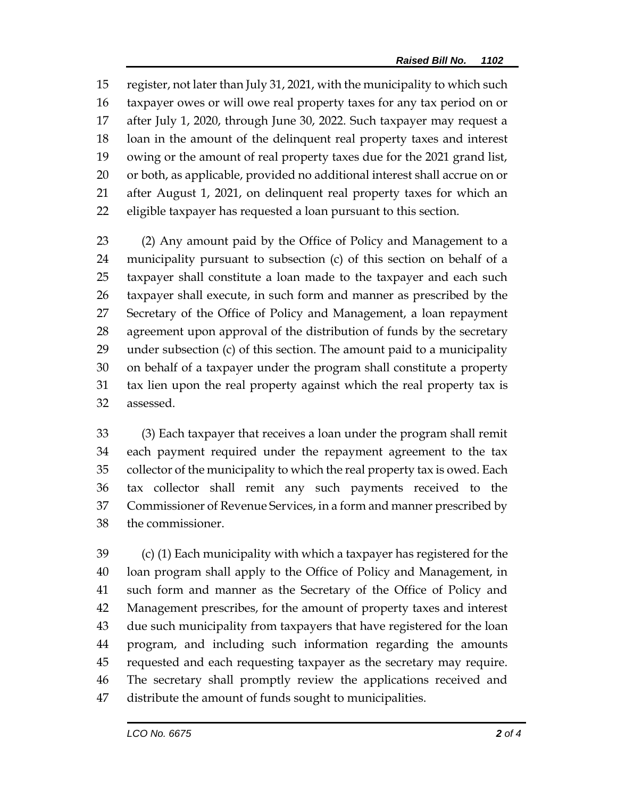register, not later than July 31, 2021, with the municipality to which such taxpayer owes or will owe real property taxes for any tax period on or after July 1, 2020, through June 30, 2022. Such taxpayer may request a loan in the amount of the delinquent real property taxes and interest owing or the amount of real property taxes due for the 2021 grand list, or both, as applicable, provided no additional interest shall accrue on or after August 1, 2021, on delinquent real property taxes for which an eligible taxpayer has requested a loan pursuant to this section.

 (2) Any amount paid by the Office of Policy and Management to a municipality pursuant to subsection (c) of this section on behalf of a taxpayer shall constitute a loan made to the taxpayer and each such taxpayer shall execute, in such form and manner as prescribed by the Secretary of the Office of Policy and Management, a loan repayment agreement upon approval of the distribution of funds by the secretary under subsection (c) of this section. The amount paid to a municipality on behalf of a taxpayer under the program shall constitute a property tax lien upon the real property against which the real property tax is assessed.

 (3) Each taxpayer that receives a loan under the program shall remit each payment required under the repayment agreement to the tax collector of the municipality to which the real property tax is owed. Each tax collector shall remit any such payments received to the Commissioner of Revenue Services, in a form and manner prescribed by the commissioner.

 (c) (1) Each municipality with which a taxpayer has registered for the loan program shall apply to the Office of Policy and Management, in such form and manner as the Secretary of the Office of Policy and Management prescribes, for the amount of property taxes and interest due such municipality from taxpayers that have registered for the loan program, and including such information regarding the amounts requested and each requesting taxpayer as the secretary may require. The secretary shall promptly review the applications received and distribute the amount of funds sought to municipalities.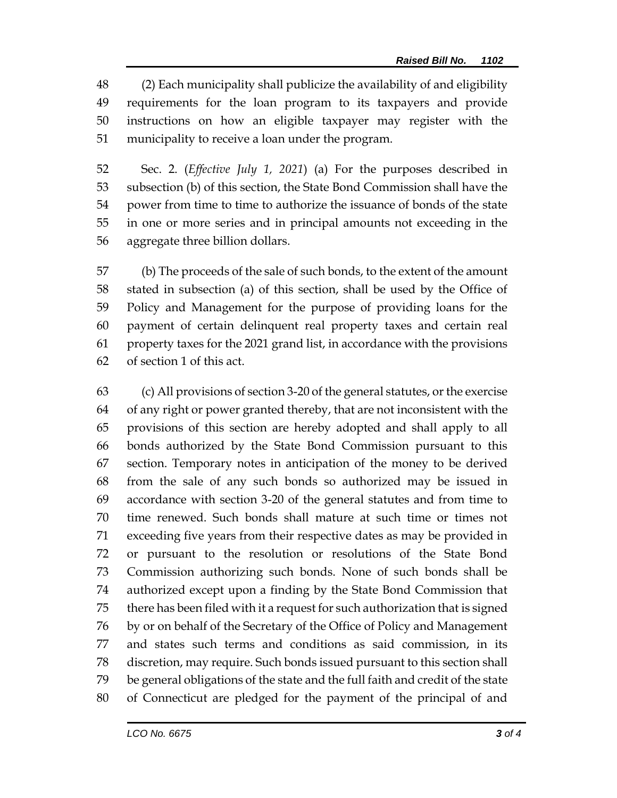(2) Each municipality shall publicize the availability of and eligibility requirements for the loan program to its taxpayers and provide instructions on how an eligible taxpayer may register with the municipality to receive a loan under the program.

 Sec. 2. (*Effective July 1, 2021*) (a) For the purposes described in subsection (b) of this section, the State Bond Commission shall have the power from time to time to authorize the issuance of bonds of the state in one or more series and in principal amounts not exceeding in the aggregate three billion dollars.

 (b) The proceeds of the sale of such bonds, to the extent of the amount stated in subsection (a) of this section, shall be used by the Office of Policy and Management for the purpose of providing loans for the payment of certain delinquent real property taxes and certain real property taxes for the 2021 grand list, in accordance with the provisions of section 1 of this act.

 (c) All provisions of section 3-20 of the general statutes, or the exercise of any right or power granted thereby, that are not inconsistent with the provisions of this section are hereby adopted and shall apply to all bonds authorized by the State Bond Commission pursuant to this section. Temporary notes in anticipation of the money to be derived from the sale of any such bonds so authorized may be issued in accordance with section 3-20 of the general statutes and from time to time renewed. Such bonds shall mature at such time or times not exceeding five years from their respective dates as may be provided in or pursuant to the resolution or resolutions of the State Bond Commission authorizing such bonds. None of such bonds shall be authorized except upon a finding by the State Bond Commission that there has been filed with it a request for such authorization that is signed by or on behalf of the Secretary of the Office of Policy and Management and states such terms and conditions as said commission, in its discretion, may require. Such bonds issued pursuant to this section shall be general obligations of the state and the full faith and credit of the state of Connecticut are pledged for the payment of the principal of and